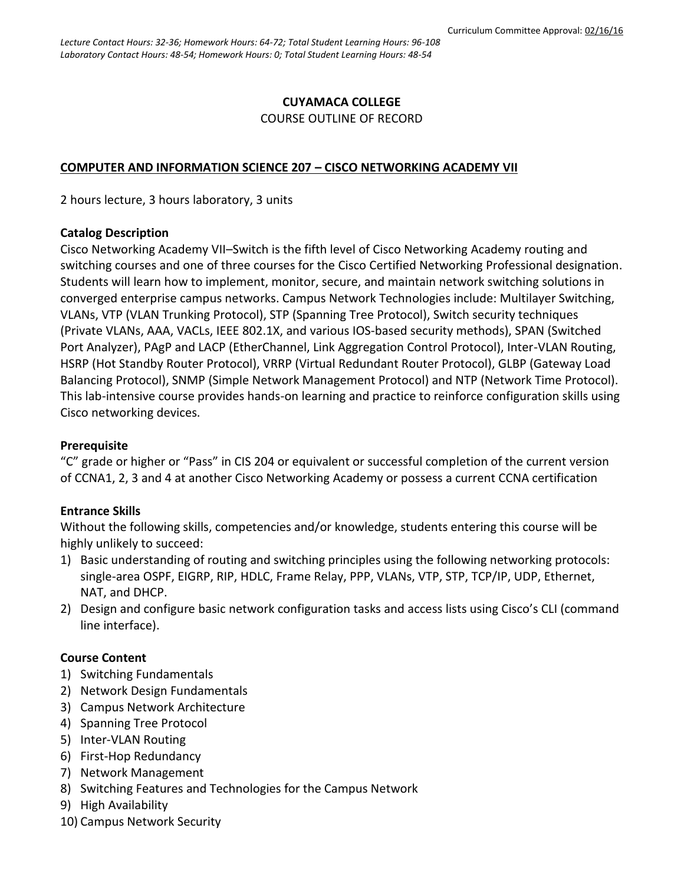#### **CUYAMACA COLLEGE** COURSE OUTLINE OF RECORD

#### **COMPUTER AND INFORMATION SCIENCE 207 – CISCO NETWORKING ACADEMY VII**

2 hours lecture, 3 hours laboratory, 3 units

#### **Catalog Description**

Cisco Networking Academy VII–Switch is the fifth level of Cisco Networking Academy routing and switching courses and one of three courses for the Cisco Certified Networking Professional designation. Students will learn how to implement, monitor, secure, and maintain network switching solutions in converged enterprise campus networks. Campus Network Technologies include: Multilayer Switching, VLANs, VTP (VLAN Trunking Protocol), STP (Spanning Tree Protocol), Switch security techniques (Private VLANs, AAA, VACLs, IEEE 802.1X, and various IOS-based security methods), SPAN (Switched Port Analyzer), PAgP and LACP (EtherChannel, Link Aggregation Control Protocol), Inter-VLAN Routing, HSRP (Hot Standby Router Protocol), VRRP (Virtual Redundant Router Protocol), GLBP (Gateway Load Balancing Protocol), SNMP (Simple Network Management Protocol) and NTP (Network Time Protocol). This lab-intensive course provides hands-on learning and practice to reinforce configuration skills using Cisco networking devices.

#### **Prerequisite**

"C" grade or higher or "Pass" in CIS 204 or equivalent or successful completion of the current version of CCNA1, 2, 3 and 4 at another Cisco Networking Academy or possess a current CCNA certification

#### **Entrance Skills**

Without the following skills, competencies and/or knowledge, students entering this course will be highly unlikely to succeed:

- 1) Basic understanding of routing and switching principles using the following networking protocols: single-area OSPF, EIGRP, RIP, HDLC, Frame Relay, PPP, VLANs, VTP, STP, TCP/IP, UDP, Ethernet, NAT, and DHCP.
- 2) Design and configure basic network configuration tasks and access lists using Cisco's CLI (command line interface).

#### **Course Content**

- 1) Switching Fundamentals
- 2) Network Design Fundamentals
- 3) Campus Network Architecture
- 4) Spanning Tree Protocol
- 5) Inter-VLAN Routing
- 6) First-Hop Redundancy
- 7) Network Management
- 8) Switching Features and Technologies for the Campus Network
- 9) High Availability
- 10) Campus Network Security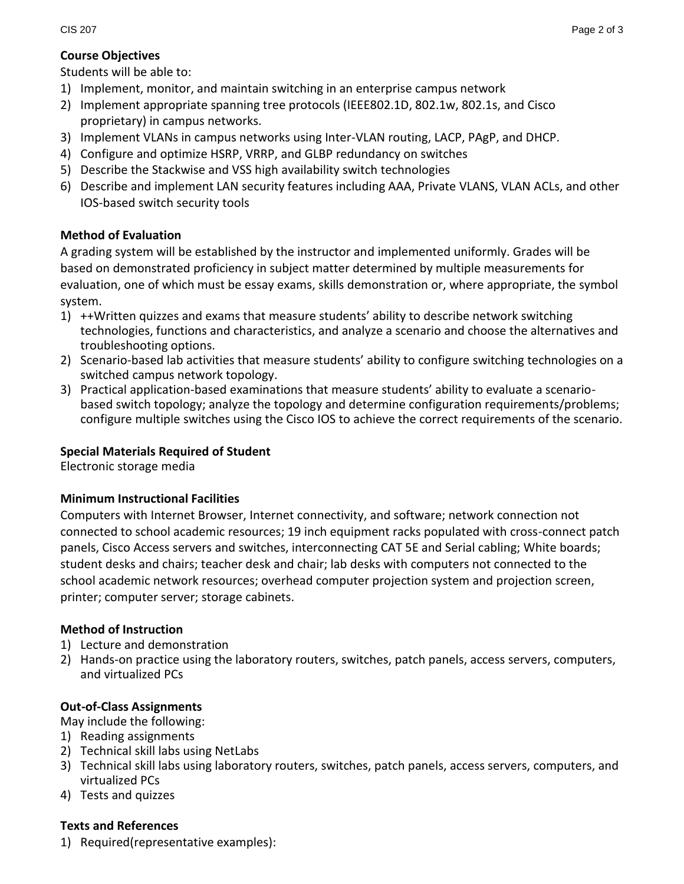#### **Course Objectives**

Students will be able to:

- 1) Implement, monitor, and maintain switching in an enterprise campus network
- 2) Implement appropriate spanning tree protocols (IEEE802.1D, 802.1w, 802.1s, and Cisco proprietary) in campus networks.
- 3) Implement VLANs in campus networks using Inter-VLAN routing, LACP, PAgP, and DHCP.
- 4) Configure and optimize HSRP, VRRP, and GLBP redundancy on switches
- 5) Describe the Stackwise and VSS high availability switch technologies
- 6) Describe and implement LAN security features including AAA, Private VLANS, VLAN ACLs, and other IOS-based switch security tools

# **Method of Evaluation**

A grading system will be established by the instructor and implemented uniformly. Grades will be based on demonstrated proficiency in subject matter determined by multiple measurements for evaluation, one of which must be essay exams, skills demonstration or, where appropriate, the symbol system.

- 1) ++Written quizzes and exams that measure students' ability to describe network switching technologies, functions and characteristics, and analyze a scenario and choose the alternatives and troubleshooting options.
- 2) Scenario-based lab activities that measure students' ability to configure switching technologies on a switched campus network topology.
- 3) Practical application-based examinations that measure students' ability to evaluate a scenariobased switch topology; analyze the topology and determine configuration requirements/problems; configure multiple switches using the Cisco IOS to achieve the correct requirements of the scenario.

## **Special Materials Required of Student**

Electronic storage media

## **Minimum Instructional Facilities**

Computers with Internet Browser, Internet connectivity, and software; network connection not connected to school academic resources; 19 inch equipment racks populated with cross-connect patch panels, Cisco Access servers and switches, interconnecting CAT 5E and Serial cabling; White boards; student desks and chairs; teacher desk and chair; lab desks with computers not connected to the school academic network resources; overhead computer projection system and projection screen, printer; computer server; storage cabinets.

## **Method of Instruction**

- 1) Lecture and demonstration
- 2) Hands-on practice using the laboratory routers, switches, patch panels, access servers, computers, and virtualized PCs

## **Out-of-Class Assignments**

May include the following:

- 1) Reading assignments
- 2) Technical skill labs using NetLabs
- 3) Technical skill labs using laboratory routers, switches, patch panels, access servers, computers, and virtualized PCs
- 4) Tests and quizzes

## **Texts and References**

1) Required(representative examples):